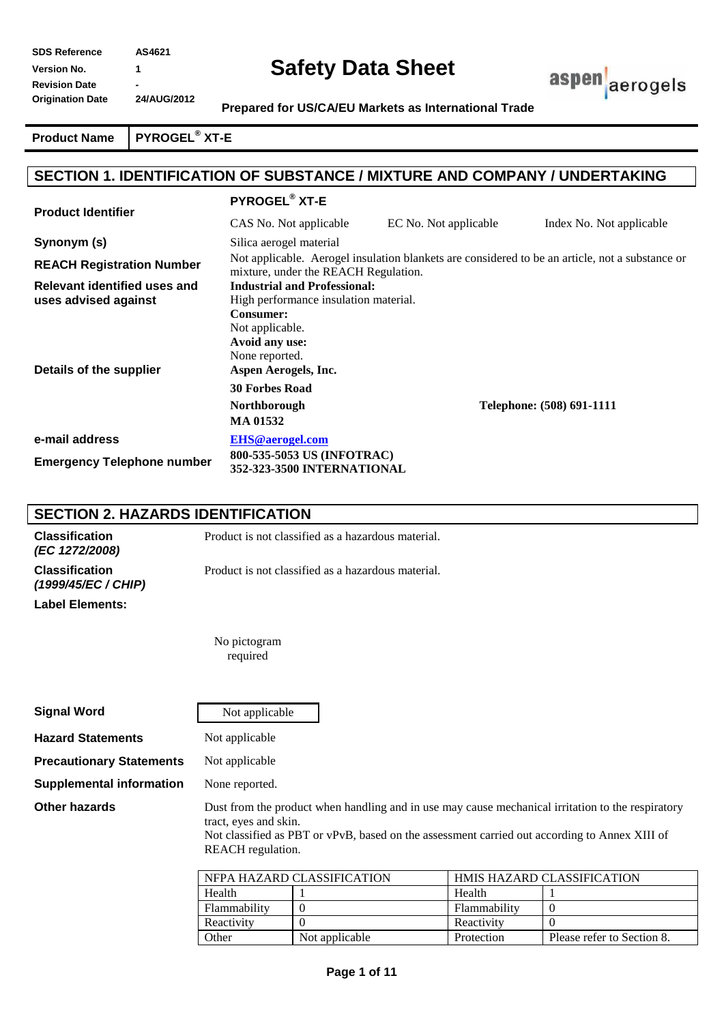| <b>SDS Reference</b>    | AS4621      |                                                |
|-------------------------|-------------|------------------------------------------------|
| <b>Version No.</b>      |             | <b>Safety Data Sheet</b>                       |
| <b>Revision Date</b>    |             |                                                |
| <b>Origination Date</b> | 24/AUG/2012 | <b>Prepared for US/CA/EU Markets as Interr</b> |

aspen aerogels

**Prepared for US/CA/EU Markets as International Trade**

**Product Name PYROGEL<sup>®</sup> XT-E** 

#### **SECTION 1. IDENTIFICATION OF SUBSTANCE / MIXTURE AND COMPANY / UNDERTAKING**

| <b>Product Identifier</b>                            | PYROGEL <sup>®</sup> XT-E                                                                                                                               |                       |                                                                                                 |  |  |  |
|------------------------------------------------------|---------------------------------------------------------------------------------------------------------------------------------------------------------|-----------------------|-------------------------------------------------------------------------------------------------|--|--|--|
|                                                      | CAS No. Not applicable                                                                                                                                  | EC No. Not applicable | Index No. Not applicable                                                                        |  |  |  |
| Synonym (s)                                          | Silica aerogel material                                                                                                                                 |                       |                                                                                                 |  |  |  |
| <b>REACH Registration Number</b>                     | mixture, under the REACH Regulation.                                                                                                                    |                       | Not applicable. Aerogel insulation blankets are considered to be an article, not a substance or |  |  |  |
| Relevant identified uses and<br>uses advised against | <b>Industrial and Professional:</b><br>High performance insulation material.<br><b>Consumer:</b><br>Not applicable.<br>Avoid any use:<br>None reported. |                       |                                                                                                 |  |  |  |
| Details of the supplier                              | Aspen Aerogels, Inc.<br><b>30 Forbes Road</b><br>Northborough<br><b>MA 01532</b>                                                                        |                       | Telephone: (508) 691-1111                                                                       |  |  |  |
| e-mail address                                       | <b>EHS@aerogel.com</b>                                                                                                                                  |                       |                                                                                                 |  |  |  |
| <b>Emergency Telephone number</b>                    | 800-535-5053 US (INFOTRAC)<br><b>352-323-3500 INTERNATIONAL</b>                                                                                         |                       |                                                                                                 |  |  |  |

#### **SECTION 2. HAZARDS IDENTIFICATION**

**Classification**  *(EC 1272/2008)* Product is not classified as a hazardous material. **Classification**  *(1999/45/EC / CHIP)* Product is not classified as a hazardous material. **Label Elements:**

> No pictogram required

| <b>Signal Word</b>              | Not applicable                                                                                                                                                                                                                                          |
|---------------------------------|---------------------------------------------------------------------------------------------------------------------------------------------------------------------------------------------------------------------------------------------------------|
| <b>Hazard Statements</b>        | Not applicable                                                                                                                                                                                                                                          |
| <b>Precautionary Statements</b> | Not applicable                                                                                                                                                                                                                                          |
| <b>Supplemental information</b> | None reported.                                                                                                                                                                                                                                          |
| Other hazards                   | Dust from the product when handling and in use may cause mechanical irritation to the respiratory<br>tract, eyes and skin.<br>Not classified as PBT or vPvB, based on the assessment carried out according to Annex XIII of<br><b>REACH</b> regulation. |

| NFPA HAZARD CLASSIFICATION |                | <b>HMIS HAZARD CLASSIFICATION</b> |                            |  |
|----------------------------|----------------|-----------------------------------|----------------------------|--|
| Health                     |                | Health                            |                            |  |
| Flammability               |                | Flammability                      |                            |  |
| Reactivity                 |                | Reactivity                        |                            |  |
| Other                      | Not applicable | Protection                        | Please refer to Section 8. |  |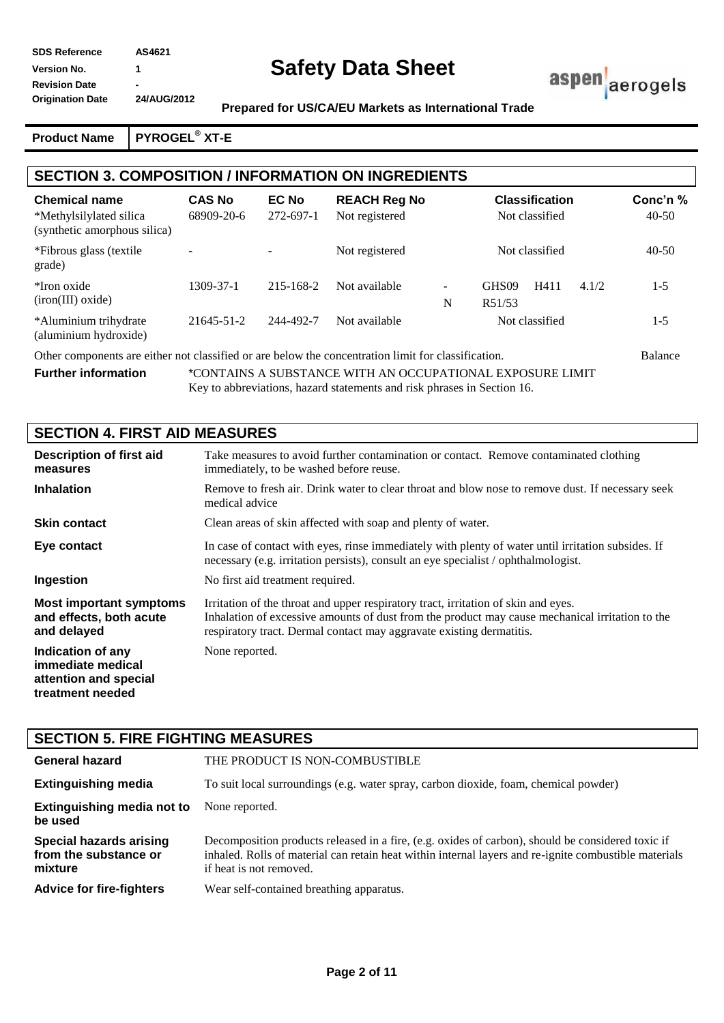| <b>SDS Reference</b>    | AS4621      |
|-------------------------|-------------|
| <b>Version No.</b>      | 1           |
| <b>Revision Date</b>    | -           |
| <b>Origination Date</b> | 24/AUG/2012 |
|                         |             |



**Prepared for US/CA/EU Markets as International Trade**

**Product Name PYROGEL<sup>®</sup> XT-E** 

### **SECTION 3. COMPOSITION / INFORMATION ON INGREDIENTS**

| <b>Chemical name</b><br>*Methylsilylated silica<br>(synthetic amorphous silica)                     | <b>CAS No</b><br>68909-20-6 | <b>EC No</b><br>272-697-1 | <b>REACH Reg No</b><br>Not registered |                               | <b>Classification</b><br>Not classified | Conc'n %<br>$40 - 50$ |
|-----------------------------------------------------------------------------------------------------|-----------------------------|---------------------------|---------------------------------------|-------------------------------|-----------------------------------------|-----------------------|
| *Fibrous glass (textile<br>grade)                                                                   |                             |                           | Not registered                        |                               | Not classified                          | $40 - 50$             |
| *Iron oxide<br>(iron(III) oxide)                                                                    | 1309-37-1                   | 215-168-2                 | Not available                         | $\overline{\phantom{0}}$<br>N | GHS09<br>H411<br>4.1/2<br>R51/53        | $1-5$                 |
| *Aluminium trihydrate<br>(aluminium hydroxide)                                                      | 21645-51-2                  | 244-492-7                 | Not available                         |                               | Not classified                          | $1-5$                 |
| Other components are either not classified or are below the concentration limit for classification. |                             |                           |                                       |                               | <b>Balance</b>                          |                       |

**Further information** \*CONTAINS A SUBSTANCE WITH AN OCCUPATIONAL EXPOSURE LIMIT Key to abbreviations, hazard statements and risk phrases in Section 16.

### **SECTION 4. FIRST AID MEASURES**

| <b>Description of first aid</b><br>measures                                         | Take measures to avoid further contamination or contact. Remove contaminated clothing<br>immediately, to be washed before reuse.                                                                                                                              |  |  |
|-------------------------------------------------------------------------------------|---------------------------------------------------------------------------------------------------------------------------------------------------------------------------------------------------------------------------------------------------------------|--|--|
| <b>Inhalation</b>                                                                   | Remove to fresh air. Drink water to clear throat and blow nose to remove dust. If necessary seek<br>medical advice                                                                                                                                            |  |  |
| <b>Skin contact</b>                                                                 | Clean areas of skin affected with soap and plenty of water.                                                                                                                                                                                                   |  |  |
| Eye contact                                                                         | In case of contact with eyes, rinse immediately with plenty of water until irritation subsides. If<br>necessary (e.g. irritation persists), consult an eye specialist / ophthalmologist.                                                                      |  |  |
| Ingestion                                                                           | No first aid treatment required.                                                                                                                                                                                                                              |  |  |
| <b>Most important symptoms</b><br>and effects, both acute<br>and delayed            | Irritation of the throat and upper respiratory tract, irritation of skin and eyes.<br>Inhalation of excessive amounts of dust from the product may cause mechanical irritation to the<br>respiratory tract. Dermal contact may aggravate existing dermatitis. |  |  |
| Indication of any<br>immediate medical<br>attention and special<br>treatment needed | None reported.                                                                                                                                                                                                                                                |  |  |

| <b>SECTION 5. FIRE FIGHTING MEASURES</b>                           |                                                                                                                                                                                                                                       |  |  |
|--------------------------------------------------------------------|---------------------------------------------------------------------------------------------------------------------------------------------------------------------------------------------------------------------------------------|--|--|
| <b>General hazard</b>                                              | THE PRODUCT IS NON-COMBUSTIBLE                                                                                                                                                                                                        |  |  |
| <b>Extinguishing media</b>                                         | To suit local surroundings (e.g. water spray, carbon dioxide, foam, chemical powder)                                                                                                                                                  |  |  |
| <b>Extinguishing media not to</b><br>be used                       | None reported.                                                                                                                                                                                                                        |  |  |
| <b>Special hazards arising</b><br>from the substance or<br>mixture | Decomposition products released in a fire, (e.g. oxides of carbon), should be considered toxic if<br>inhaled. Rolls of material can retain heat within internal layers and re-ignite combustible materials<br>if heat is not removed. |  |  |
| <b>Advice for fire-fighters</b>                                    | Wear self-contained breathing apparatus.                                                                                                                                                                                              |  |  |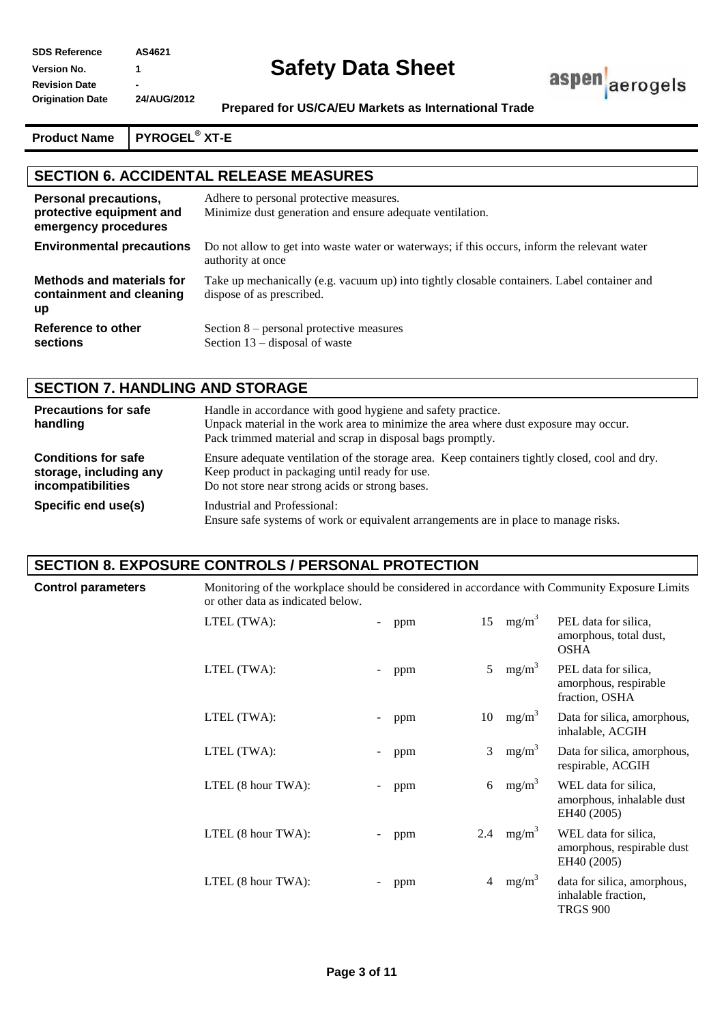| <b>SDS Reference</b>    | AS4621      |
|-------------------------|-------------|
| <b>Version No.</b>      | 1           |
| <b>Revision Date</b>    |             |
| <b>Origination Date</b> | 24/AUG/2012 |
|                         |             |



**Prepared for US/CA/EU Markets as International Trade**

**Product Name** 

**PYROGEL<sup>®</sup> XT-E** 

#### **SECTION 6. ACCIDENTAL RELEASE MEASURES**

| <b>Personal precautions,</b><br>protective equipment and<br>emergency procedures | Adhere to personal protective measures.<br>Minimize dust generation and ensure adequate ventilation.                     |
|----------------------------------------------------------------------------------|--------------------------------------------------------------------------------------------------------------------------|
| <b>Environmental precautions</b>                                                 | Do not allow to get into waste water or waterways; if this occurs, inform the relevant water<br>authority at once        |
| <b>Methods and materials for</b><br>containment and cleaning<br>up               | Take up mechanically (e.g. vacuum up) into tightly closable containers. Label container and<br>dispose of as prescribed. |
| Reference to other<br>sections                                                   | Section $8$ – personal protective measures<br>Section $13$ – disposal of waste                                           |

## **SECTION 7. HANDLING AND STORAGE**

| <b>Precautions for safe</b><br>handling                                   | Handle in accordance with good hygiene and safety practice.<br>Unpack material in the work area to minimize the area where dust exposure may occur.<br>Pack trimmed material and scrap in disposal bags promptly. |  |  |
|---------------------------------------------------------------------------|-------------------------------------------------------------------------------------------------------------------------------------------------------------------------------------------------------------------|--|--|
| <b>Conditions for safe</b><br>storage, including any<br>incompatibilities | Ensure adequate ventilation of the storage area. Keep containers tightly closed, cool and dry.<br>Keep product in packaging until ready for use.<br>Do not store near strong acids or strong bases.               |  |  |
| Specific end use(s)                                                       | Industrial and Professional:<br>Ensure safe systems of work or equivalent arrangements are in place to manage risks.                                                                                              |  |  |

#### **SECTION 8. EXPOSURE CONTROLS / PERSONAL PROTECTION**

**Control parameters** Monitoring of the workplace should be considered in accordance with Community Exposure Limits or other data as indicated below.

| LTEL (TWA):                           | ppm | $mg/m^3$<br>15  | PEL data for silica,<br>amorphous, total dust,<br><b>OSHA</b>         |
|---------------------------------------|-----|-----------------|-----------------------------------------------------------------------|
| LTEL (TWA):                           | ppm | $mg/m^3$<br>5   | PEL data for silica,<br>amorphous, respirable<br>fraction, OSHA       |
| LTEL (TWA):                           | ppm | $mg/m^3$<br>10  | Data for silica, amorphous,<br>inhalable, ACGIH                       |
| LTEL (TWA):                           | ppm | $mg/m^3$<br>3   | Data for silica, amorphous,<br>respirable, ACGIH                      |
| LTEL $(8 \text{ hour} \text{ TWA})$ : | ppm | $mg/m^3$<br>6   | WEL data for silica,<br>amorphous, inhalable dust<br>EH40 (2005)      |
| LTEL $(8 \text{ hour} \text{ TWA})$ : | ppm | $mg/m^3$<br>2.4 | WEL data for silica,<br>amorphous, respirable dust<br>EH40 (2005)     |
| LTEL $(8 \text{ hour} \text{ TWA})$ : | ppm | $mg/m^3$<br>4   | data for silica, amorphous,<br>inhalable fraction,<br><b>TRGS 900</b> |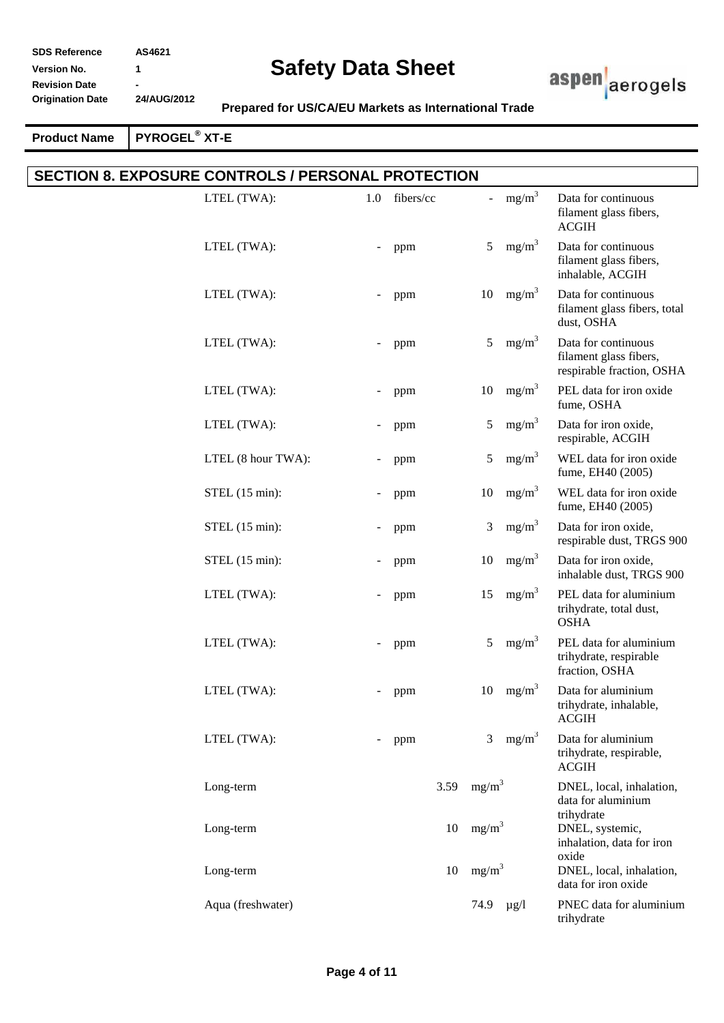| <b>SDS Reference</b>    | AS4621      |
|-------------------------|-------------|
| <b>Version No.</b>      | 1           |
| <b>Revision Date</b>    |             |
| <b>Origination Date</b> | 24/AUG/2012 |
|                         |             |



inhalation, data for iron

data for iron oxide

oxide

trihydrate

**Prepared for US/CA/EU Markets as International Trade**

**Product Name PYROGEL® XT-E**

| Product Name<br><b>PYROGEL</b> XI-E                |                    |                              |           |               |                          |          |                                                                            |
|----------------------------------------------------|--------------------|------------------------------|-----------|---------------|--------------------------|----------|----------------------------------------------------------------------------|
|                                                    |                    |                              |           |               |                          |          |                                                                            |
| SECTION 8. EXPOSURE CONTROLS / PERSONAL PROTECTION |                    |                              |           |               |                          |          |                                                                            |
|                                                    | LTEL (TWA):        | 1.0                          | fibers/cc |               | $\overline{\phantom{a}}$ | $mg/m^3$ | Data for continuous<br>filament glass fibers,<br><b>ACGIH</b>              |
|                                                    | LTEL (TWA):        | $\qquad \qquad \blacksquare$ | ppm       |               | 5                        | $mg/m^3$ | Data for continuous<br>filament glass fibers,<br>inhalable, ACGIH          |
|                                                    | LTEL (TWA):        |                              | ppm       |               | 10                       | $mg/m^3$ | Data for continuous<br>filament glass fibers, total<br>dust, OSHA          |
|                                                    | LTEL (TWA):        | $\qquad \qquad \blacksquare$ | ppm       |               | 5                        | $mg/m^3$ | Data for continuous<br>filament glass fibers,<br>respirable fraction, OSHA |
|                                                    | LTEL (TWA):        |                              | ppm       |               | 10                       | $mg/m^3$ | PEL data for iron oxide<br>fume, OSHA                                      |
|                                                    | LTEL (TWA):        |                              | ppm       |               | 5                        | $mg/m^3$ | Data for iron oxide,<br>respirable, ACGIH                                  |
|                                                    | LTEL (8 hour TWA): | ÷                            | ppm       |               | 5                        | $mg/m^3$ | WEL data for iron oxide<br>fume, EH40 (2005)                               |
|                                                    | STEL (15 min):     |                              | ppm       |               | 10                       | $mg/m^3$ | WEL data for iron oxide<br>fume, EH40 (2005)                               |
|                                                    | $STEL$ (15 min):   |                              | ppm       |               | 3                        | $mg/m^3$ | Data for iron oxide,<br>respirable dust, TRGS 900                          |
|                                                    | STEL (15 min):     | $\overline{\phantom{a}}$     | ppm       |               | 10                       | $mg/m^3$ | Data for iron oxide,<br>inhalable dust, TRGS 900                           |
|                                                    | LTEL (TWA):        |                              | ppm       |               | 15                       | $mg/m^3$ | PEL data for aluminium<br>trihydrate, total dust,<br><b>OSHA</b>           |
|                                                    | LTEL (TWA):        | $\overline{\phantom{a}}$     | ppm       |               | 5                        | $mg/m^3$ | PEL data for aluminium<br>trihydrate, respirable<br>fraction, OSHA         |
|                                                    | LTEL (TWA):        | $\overline{\phantom{0}}$     | ppm       |               | 10                       | $mg/m^3$ | Data for aluminium<br>trihydrate, inhalable,<br><b>ACGIH</b>               |
|                                                    | LTEL (TWA):        | $\overline{a}$               | ppm       |               | 3                        | $mg/m^3$ | Data for aluminium<br>trihydrate, respirable,<br><b>ACGIH</b>              |
|                                                    | Long-term          |                              |           | 3.59 $mg/m^3$ |                          |          | DNEL, local, inhalation,<br>data for aluminium<br>trihydrate               |
|                                                    | Long-term          |                              |           |               | $10 \text{ mg/m}^3$      |          | DNEL, systemic,                                                            |

Long-term 10 mg/m<sup>3</sup> DNEL, local, inhalation,

Aqua (freshwater) 74.9 µg/l PNEC data for aluminium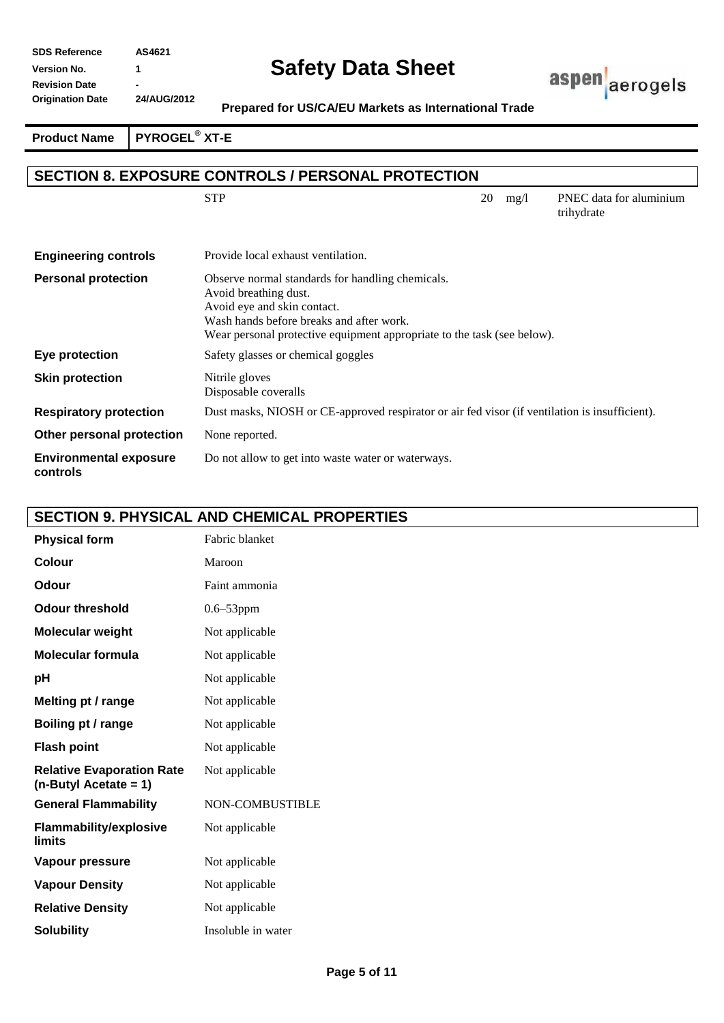| <b>SDS Reference</b>    | AS4621      |
|-------------------------|-------------|
| <b>Version No.</b>      | 1           |
| <b>Revision Date</b>    |             |
| <b>Origination Date</b> | 24/AUG/2012 |
|                         |             |



**Prepared for US/CA/EU Markets as International Trade**

**Product Name PYROGEL<sup>®</sup> XT-E** 

### **SECTION 8. EXPOSURE CONTROLS / PERSONAL PROTECTION** STP 20 mg/l PNEC data for aluminium trihydrate **Engineering controls** Provide local exhaust ventilation. **Personal protection** Observe normal standards for handling chemicals. Avoid breathing dust. Avoid eye and skin contact. Wash hands before breaks and after work. Wear personal protective equipment appropriate to the task (see below). **Eye protection** Safety glasses or chemical goggles **Skin protection** Nitrile gloves Disposable coveralls **Respiratory protection** Dust masks, NIOSH or CE-approved respirator or air fed visor (if ventilation is insufficient). **Other personal protection** None reported. **Environmental exposure controls** Do not allow to get into waste water or waterways.

### **SECTION 9. PHYSICAL AND CHEMICAL PROPERTIES**

| <b>Physical form</b>                                       | Fabric blanket     |
|------------------------------------------------------------|--------------------|
| <b>Colour</b>                                              | Maroon             |
| Odour                                                      | Faint ammonia      |
| <b>Odour threshold</b>                                     | $0.6 - 53$ ppm     |
| Molecular weight                                           | Not applicable     |
| <b>Molecular formula</b>                                   | Not applicable     |
| pH                                                         | Not applicable     |
| Melting pt / range                                         | Not applicable     |
| Boiling pt / range                                         | Not applicable     |
| <b>Flash point</b>                                         | Not applicable     |
| <b>Relative Evaporation Rate</b><br>$(n-ButyI Accate = 1)$ | Not applicable     |
| <b>General Flammability</b>                                | NON-COMBUSTIBLE    |
| <b>Flammability/explosive</b><br><b>limits</b>             | Not applicable     |
| Vapour pressure                                            | Not applicable     |
| <b>Vapour Density</b>                                      | Not applicable     |
| <b>Relative Density</b>                                    | Not applicable     |
| <b>Solubility</b>                                          | Insoluble in water |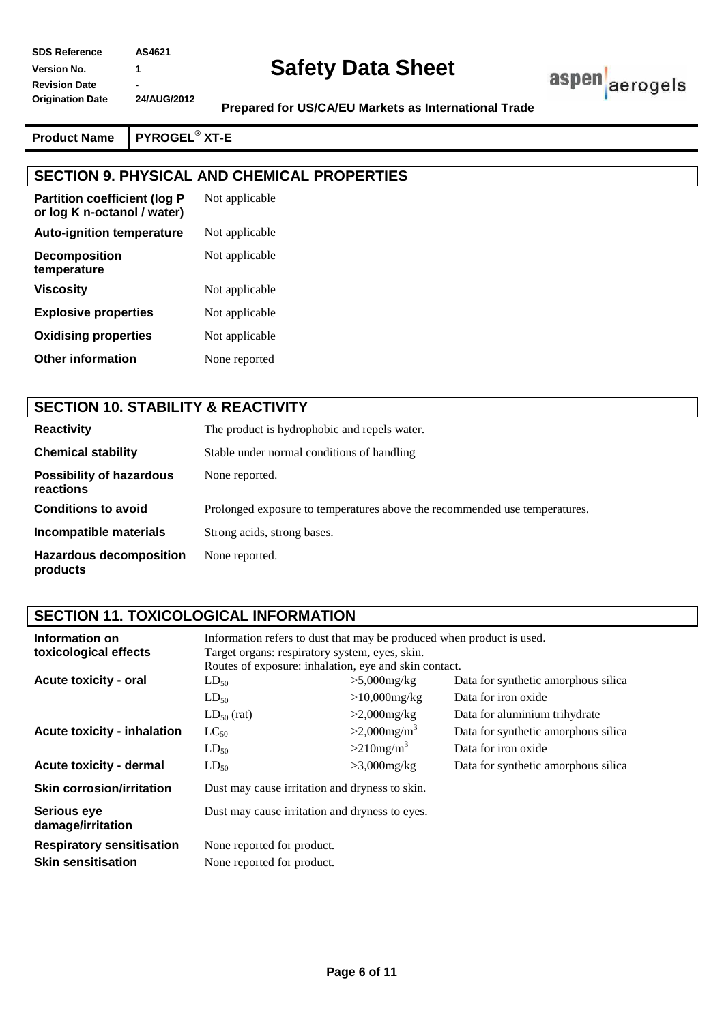| <b>SDS Reference</b>    | AS4621      |
|-------------------------|-------------|
| <b>Version No.</b>      | 1           |
| <b>Revision Date</b>    |             |
| <b>Origination Date</b> | 24/AUG/2012 |
|                         |             |



**Prepared for US/CA/EU Markets as International Trade**

**Product Name PYROGEL<sup>®</sup> XT-E** 

## **SECTION 9. PHYSICAL AND CHEMICAL PROPERTIES**

| <b>Partition coefficient (log P</b><br>or log K n-octanol / water) | Not applicable |
|--------------------------------------------------------------------|----------------|
| <b>Auto-ignition temperature</b>                                   | Not applicable |
| <b>Decomposition</b><br>temperature                                | Not applicable |
| <b>Viscosity</b>                                                   | Not applicable |
| <b>Explosive properties</b>                                        | Not applicable |
| <b>Oxidising properties</b>                                        | Not applicable |
| <b>Other information</b>                                           | None reported  |

| <b>SECTION 10. STABILITY &amp; REACTIVITY</b> |                                                                            |  |  |
|-----------------------------------------------|----------------------------------------------------------------------------|--|--|
| <b>Reactivity</b>                             | The product is hydrophobic and repels water.                               |  |  |
| <b>Chemical stability</b>                     | Stable under normal conditions of handling                                 |  |  |
| <b>Possibility of hazardous</b><br>reactions  | None reported.                                                             |  |  |
| <b>Conditions to avoid</b>                    | Prolonged exposure to temperatures above the recommended use temperatures. |  |  |
| Incompatible materials                        | Strong acids, strong bases.                                                |  |  |
| <b>Hazardous decomposition</b><br>products    | None reported.                                                             |  |  |

## **SECTION 11. TOXICOLOGICAL INFORMATION**

| Information on                          | Information refers to dust that may be produced when product is used. |                            |                                     |  |
|-----------------------------------------|-----------------------------------------------------------------------|----------------------------|-------------------------------------|--|
| toxicological effects                   | Target organs: respiratory system, eyes, skin.                        |                            |                                     |  |
|                                         | Routes of exposure: inhalation, eye and skin contact.                 |                            |                                     |  |
| <b>Acute toxicity - oral</b>            | $LD_{50}$                                                             | $>5,000$ mg/kg             | Data for synthetic amorphous silica |  |
|                                         | $LD_{50}$                                                             | $>10,000$ mg/kg            | Data for iron oxide                 |  |
|                                         | $LD_{50}$ (rat)                                                       | $>2,000$ mg/kg             | Data for aluminium trihydrate       |  |
| <b>Acute toxicity - inhalation</b>      | $LC_{50}$                                                             | $>2,000$ mg/m <sup>3</sup> | Data for synthetic amorphous silica |  |
|                                         | $LD_{50}$                                                             | $>210$ mg/m <sup>3</sup>   | Data for iron oxide                 |  |
| <b>Acute toxicity - dermal</b>          | $LD_{50}$                                                             | $>3,000$ mg/kg             | Data for synthetic amorphous silica |  |
| <b>Skin corrosion/irritation</b>        | Dust may cause irritation and dryness to skin.                        |                            |                                     |  |
| <b>Serious eye</b><br>damage/irritation | Dust may cause irritation and dryness to eyes.                        |                            |                                     |  |
| <b>Respiratory sensitisation</b>        | None reported for product.                                            |                            |                                     |  |
| <b>Skin sensitisation</b>               | None reported for product.                                            |                            |                                     |  |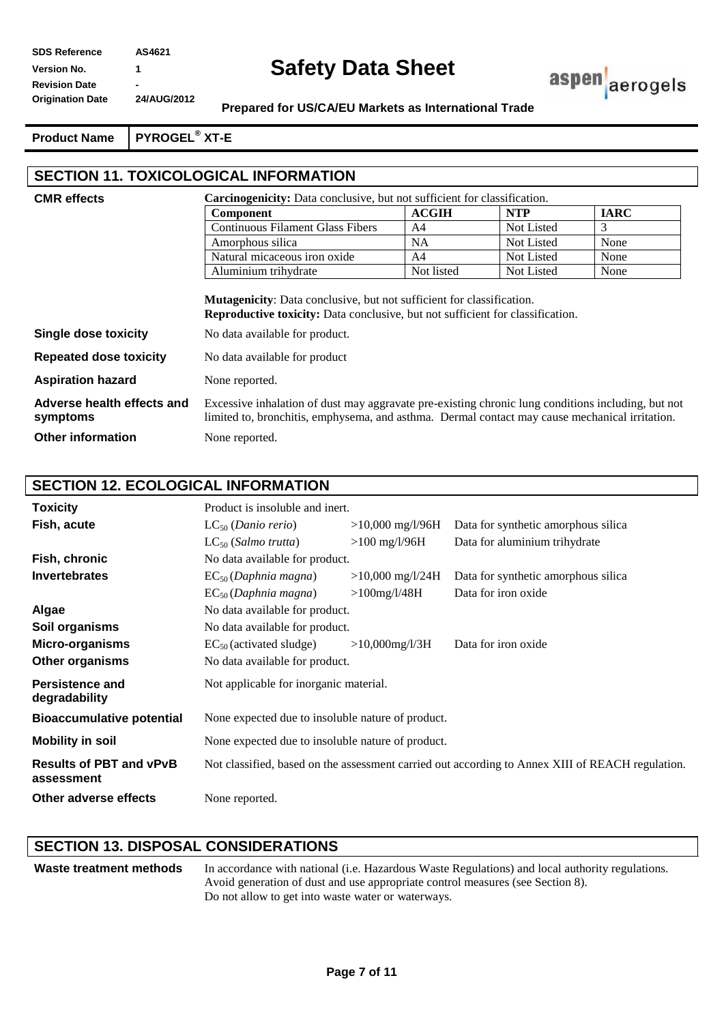| <b>SDS Reference</b>    | AS4621      |
|-------------------------|-------------|
| <b>Version No.</b>      | 1           |
| <b>Revision Date</b>    |             |
| <b>Origination Date</b> | 24/AUG/2012 |
|                         |             |



**Prepared for US/CA/EU Markets as International Trade**

**Product Name PYROGEL<sup>®</sup> XT-E** 

### **SECTION 11. TOXICOLOGICAL INFORMATION**

**Carcinogenicity:** Data conclusive, but not sufficient for classification. **Component ACGIH NTP IARC** Continuous Filament Glass Fibers | A4 Not Listed 3

Amorphous silica NA Not Listed None

|                                        | Natural micaceous iron oxide                                                                                                                                                                         | A4         | Not Listed | None |  |
|----------------------------------------|------------------------------------------------------------------------------------------------------------------------------------------------------------------------------------------------------|------------|------------|------|--|
|                                        | Aluminium trihydrate                                                                                                                                                                                 | Not listed | Not Listed | None |  |
|                                        | <b>Mutagenicity:</b> Data conclusive, but not sufficient for classification.<br><b>Reproductive toxicity:</b> Data conclusive, but not sufficient for classification.                                |            |            |      |  |
| <b>Single dose toxicity</b>            | No data available for product.                                                                                                                                                                       |            |            |      |  |
| <b>Repeated dose toxicity</b>          | No data available for product                                                                                                                                                                        |            |            |      |  |
| <b>Aspiration hazard</b>               | None reported.                                                                                                                                                                                       |            |            |      |  |
| Adverse health effects and<br>symptoms | Excessive inhalation of dust may aggravate pre-existing chronic lung conditions including, but not<br>limited to, bronchitis, emphysema, and asthma. Dermal contact may cause mechanical irritation. |            |            |      |  |
| <b>Other information</b>               | None reported.                                                                                                                                                                                       |            |            |      |  |

### **SECTION 12. ECOLOGICAL INFORMATION**

| <b>Toxicity</b>                              | Product is insoluble and inert.                   |                            |                                                                                                  |  |
|----------------------------------------------|---------------------------------------------------|----------------------------|--------------------------------------------------------------------------------------------------|--|
| Fish, acute                                  | $LC_{50}$ (Danio rerio)                           | $>10,000$ mg/l/96H         | Data for synthetic amorphous silica                                                              |  |
|                                              | $LC_{50}$ (Salmo trutta)                          | $>100$ mg/l/96H            | Data for aluminium trihydrate                                                                    |  |
| Fish, chronic                                | No data available for product.                    |                            |                                                                                                  |  |
| <b>Invertebrates</b>                         | $EC_{50}(Daphnia magna)$                          | $>10,000 \text{ mg}/1/24H$ | Data for synthetic amorphous silica                                                              |  |
|                                              | $EC_{50}(Daphnia magna)$                          | $>100$ mg/l/48H            | Data for iron oxide                                                                              |  |
| Algae                                        | No data available for product.                    |                            |                                                                                                  |  |
| Soil organisms                               | No data available for product.                    |                            |                                                                                                  |  |
| Micro-organisms                              | $EC_{50}$ (activated sludge)                      | $>10,000$ mg/l/3H          | Data for iron oxide                                                                              |  |
| Other organisms                              | No data available for product.                    |                            |                                                                                                  |  |
| Persistence and<br>degradability             | Not applicable for inorganic material.            |                            |                                                                                                  |  |
| <b>Bioaccumulative potential</b>             | None expected due to insoluble nature of product. |                            |                                                                                                  |  |
| <b>Mobility in soil</b>                      | None expected due to insoluble nature of product. |                            |                                                                                                  |  |
| <b>Results of PBT and vPvB</b><br>assessment |                                                   |                            | Not classified, based on the assessment carried out according to Annex XIII of REACH regulation. |  |
| Other adverse effects                        | None reported.                                    |                            |                                                                                                  |  |

#### **SECTION 13. DISPOSAL CONSIDERATIONS**

**Waste treatment methods** In accordance with national (i.e. Hazardous Waste Regulations) and local authority regulations. Avoid generation of dust and use appropriate control measures (see Section 8). Do not allow to get into waste water or waterways.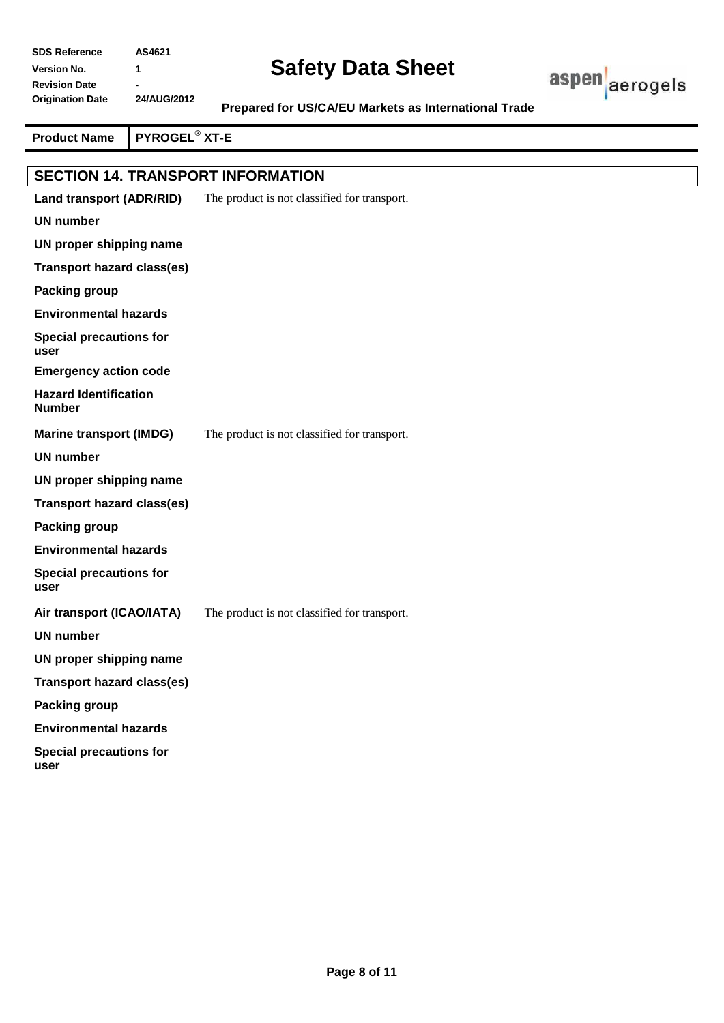| <b>SDS Reference</b>    | AS4621      |
|-------------------------|-------------|
| <b>Version No.</b>      | 1           |
| <b>Revision Date</b>    |             |
| <b>Origination Date</b> | 24/AUG/2012 |
|                         |             |

# **Version No. <sup>1</sup> Safety Data Sheet**



**Prepared for US/CA/EU Markets as International Trade**

**Product Name PYROGEL<sup>®</sup> XT-E** 

#### **SECTION 14. TRANSPORT INFORMATION**

**Land transport (ADR/RID)** The product is not classified for transport. **UN number UN proper shipping name Transport hazard class(es) Packing group Environmental hazards Special precautions for user Emergency action code Hazard Identification Number Marine transport (IMDG)** The product is not classified for transport. **UN number UN proper shipping name Transport hazard class(es) Packing group Environmental hazards Special precautions for user Air transport (ICAO/IATA)** The product is not classified for transport. **UN number UN proper shipping name Transport hazard class(es) Packing group Environmental hazards Special precautions for user**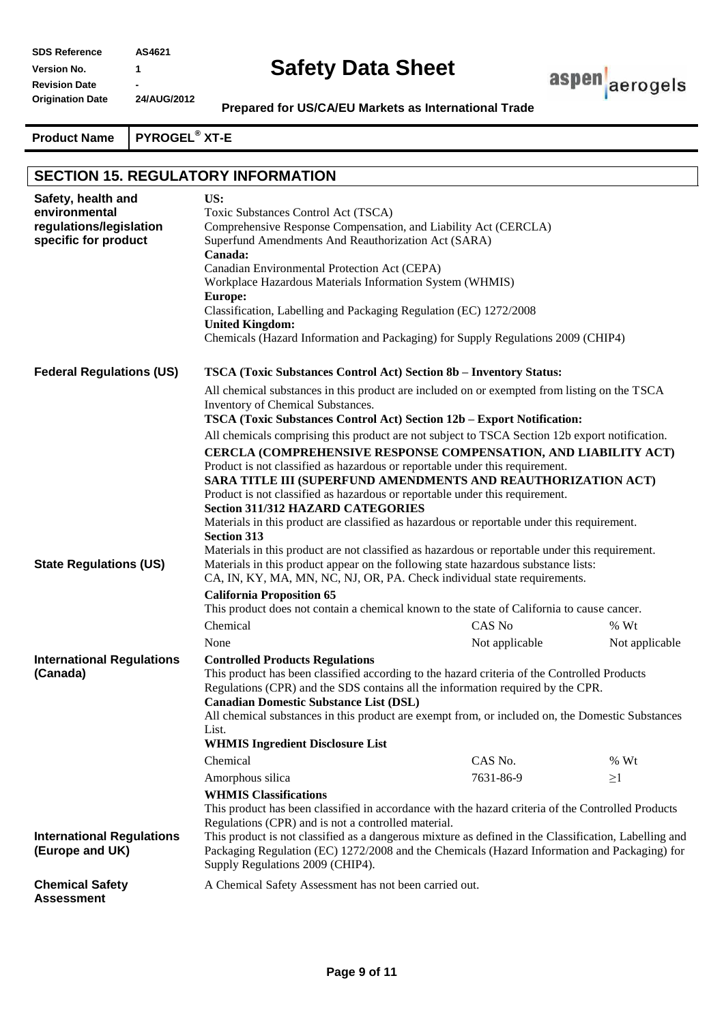| <b>SDS Reference</b>    | AS4621      |
|-------------------------|-------------|
| <b>Version No.</b>      | 1           |
| <b>Revision Date</b>    |             |
| <b>Origination Date</b> | 24/AUG/2012 |
|                         |             |

# **Version No. <sup>1</sup> Safety Data Sheet**

aspen aerogels

**Prepared for US/CA/EU Markets as International Trade**

**Product Name** 

**PYROGEL<sup>®</sup> XT-E** 

### **SECTION 15. REGULATORY INFORMATION**

| Safety, health and                                  | US:                                                                                                                                                                                                                                       |                |                |  |
|-----------------------------------------------------|-------------------------------------------------------------------------------------------------------------------------------------------------------------------------------------------------------------------------------------------|----------------|----------------|--|
| environmental                                       | Toxic Substances Control Act (TSCA)                                                                                                                                                                                                       |                |                |  |
| regulations/legislation                             | Comprehensive Response Compensation, and Liability Act (CERCLA)                                                                                                                                                                           |                |                |  |
| specific for product                                | Superfund Amendments And Reauthorization Act (SARA)<br>Canada:                                                                                                                                                                            |                |                |  |
|                                                     | Canadian Environmental Protection Act (CEPA)                                                                                                                                                                                              |                |                |  |
|                                                     | Workplace Hazardous Materials Information System (WHMIS)                                                                                                                                                                                  |                |                |  |
|                                                     | Europe:                                                                                                                                                                                                                                   |                |                |  |
|                                                     | Classification, Labelling and Packaging Regulation (EC) 1272/2008                                                                                                                                                                         |                |                |  |
|                                                     | <b>United Kingdom:</b>                                                                                                                                                                                                                    |                |                |  |
|                                                     | Chemicals (Hazard Information and Packaging) for Supply Regulations 2009 (CHIP4)                                                                                                                                                          |                |                |  |
| <b>Federal Regulations (US)</b>                     | <b>TSCA (Toxic Substances Control Act) Section 8b - Inventory Status:</b>                                                                                                                                                                 |                |                |  |
|                                                     | All chemical substances in this product are included on or exempted from listing on the TSCA<br>Inventory of Chemical Substances.                                                                                                         |                |                |  |
|                                                     | TSCA (Toxic Substances Control Act) Section 12b - Export Notification:                                                                                                                                                                    |                |                |  |
|                                                     | All chemicals comprising this product are not subject to TSCA Section 12b export notification.<br>CERCLA (COMPREHENSIVE RESPONSE COMPENSATION, AND LIABILITY ACT)                                                                         |                |                |  |
|                                                     |                                                                                                                                                                                                                                           |                |                |  |
|                                                     | Product is not classified as hazardous or reportable under this requirement.                                                                                                                                                              |                |                |  |
|                                                     | SARA TITLE III (SUPERFUND AMENDMENTS AND REAUTHORIZATION ACT)                                                                                                                                                                             |                |                |  |
|                                                     | Product is not classified as hazardous or reportable under this requirement.<br><b>Section 311/312 HAZARD CATEGORIES</b>                                                                                                                  |                |                |  |
|                                                     | Materials in this product are classified as hazardous or reportable under this requirement.                                                                                                                                               |                |                |  |
|                                                     | <b>Section 313</b>                                                                                                                                                                                                                        |                |                |  |
|                                                     | Materials in this product are not classified as hazardous or reportable under this requirement.                                                                                                                                           |                |                |  |
| <b>State Regulations (US)</b>                       | Materials in this product appear on the following state hazardous substance lists:                                                                                                                                                        |                |                |  |
|                                                     | CA, IN, KY, MA, MN, NC, NJ, OR, PA. Check individual state requirements.                                                                                                                                                                  |                |                |  |
|                                                     | <b>California Proposition 65</b>                                                                                                                                                                                                          |                |                |  |
|                                                     | This product does not contain a chemical known to the state of California to cause cancer.                                                                                                                                                |                |                |  |
|                                                     | Chemical                                                                                                                                                                                                                                  | CAS No         | % Wt           |  |
|                                                     | None                                                                                                                                                                                                                                      | Not applicable | Not applicable |  |
| <b>International Regulations</b>                    | <b>Controlled Products Regulations</b>                                                                                                                                                                                                    |                |                |  |
| (Canada)                                            | This product has been classified according to the hazard criteria of the Controlled Products<br>Regulations (CPR) and the SDS contains all the information required by the CPR.                                                           |                |                |  |
|                                                     | <b>Canadian Domestic Substance List (DSL)</b>                                                                                                                                                                                             |                |                |  |
|                                                     | All chemical substances in this product are exempt from, or included on, the Domestic Substances                                                                                                                                          |                |                |  |
|                                                     | List.                                                                                                                                                                                                                                     |                |                |  |
|                                                     | <b>WHMIS Ingredient Disclosure List</b>                                                                                                                                                                                                   |                |                |  |
|                                                     | Chemical                                                                                                                                                                                                                                  | CAS No.        | % Wt           |  |
|                                                     | Amorphous silica                                                                                                                                                                                                                          | 7631-86-9      | $\geq$ 1       |  |
|                                                     | <b>WHMIS Classifications</b>                                                                                                                                                                                                              |                |                |  |
|                                                     | This product has been classified in accordance with the hazard criteria of the Controlled Products<br>Regulations (CPR) and is not a controlled material.                                                                                 |                |                |  |
| <b>International Regulations</b><br>(Europe and UK) | This product is not classified as a dangerous mixture as defined in the Classification, Labelling and<br>Packaging Regulation (EC) 1272/2008 and the Chemicals (Hazard Information and Packaging) for<br>Supply Regulations 2009 (CHIP4). |                |                |  |
|                                                     |                                                                                                                                                                                                                                           |                |                |  |
| <b>Chemical Safety</b><br><b>Assessment</b>         | A Chemical Safety Assessment has not been carried out.                                                                                                                                                                                    |                |                |  |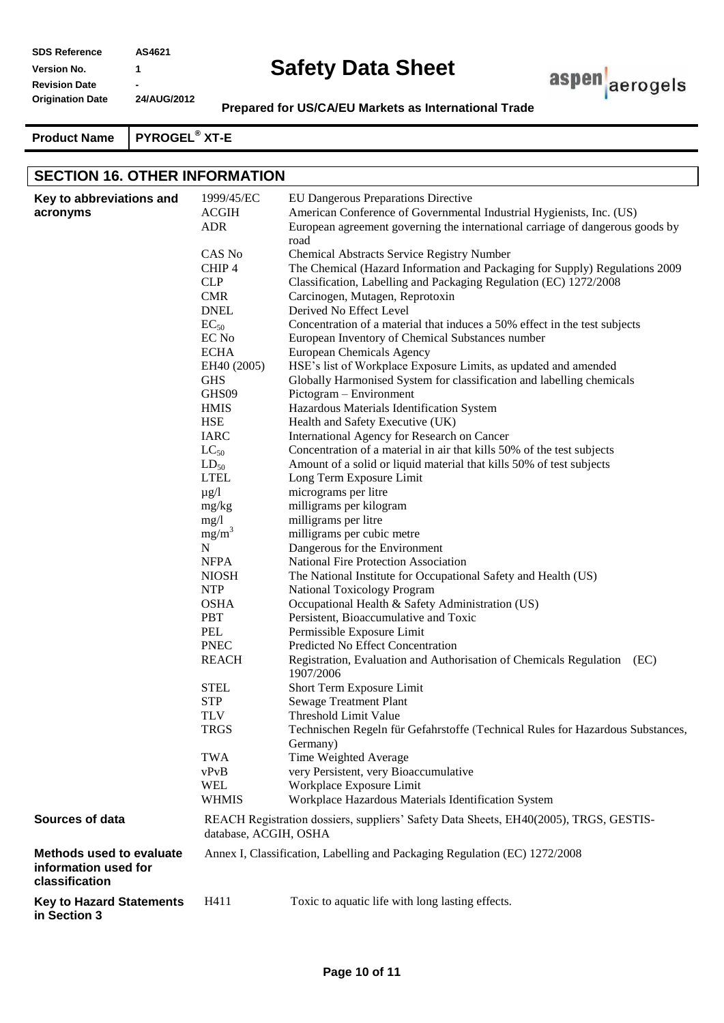| <b>SDS Reference</b>    | AS4621      |
|-------------------------|-------------|
| <b>Version No.</b>      | 1           |
| <b>Revision Date</b>    | -           |
| <b>Origination Date</b> | 24/AUG/2012 |

# **Version No. <sup>1</sup> Safety Data Sheet**



**Prepared for US/CA/EU Markets as International Trade**

**Product Name PYROGEL<sup>®</sup> XT-E** 

## **SECTION 16. OTHER INFORMATION**

| Key to abbreviations and                                                  | 1999/45/EC                                                                                                     | <b>EU Dangerous Preparations Directive</b>                                           |
|---------------------------------------------------------------------------|----------------------------------------------------------------------------------------------------------------|--------------------------------------------------------------------------------------|
| acronyms                                                                  | <b>ACGIH</b>                                                                                                   | American Conference of Governmental Industrial Hygienists, Inc. (US)                 |
|                                                                           | <b>ADR</b>                                                                                                     | European agreement governing the international carriage of dangerous goods by        |
|                                                                           |                                                                                                                | road                                                                                 |
|                                                                           | CAS No                                                                                                         | Chemical Abstracts Service Registry Number                                           |
|                                                                           | CHIP 4                                                                                                         | The Chemical (Hazard Information and Packaging for Supply) Regulations 2009          |
|                                                                           | <b>CLP</b>                                                                                                     | Classification, Labelling and Packaging Regulation (EC) 1272/2008                    |
|                                                                           | <b>CMR</b>                                                                                                     | Carcinogen, Mutagen, Reprotoxin                                                      |
|                                                                           | <b>DNEL</b>                                                                                                    | Derived No Effect Level                                                              |
|                                                                           | $EC_{50}$                                                                                                      | Concentration of a material that induces a 50% effect in the test subjects           |
|                                                                           | EC No                                                                                                          | European Inventory of Chemical Substances number                                     |
|                                                                           | <b>ECHA</b>                                                                                                    | European Chemicals Agency                                                            |
|                                                                           |                                                                                                                |                                                                                      |
|                                                                           | EH40 (2005)                                                                                                    | HSE's list of Workplace Exposure Limits, as updated and amended                      |
|                                                                           | <b>GHS</b>                                                                                                     | Globally Harmonised System for classification and labelling chemicals                |
|                                                                           | GHS09                                                                                                          | Pictogram - Environment                                                              |
|                                                                           | <b>HMIS</b>                                                                                                    | Hazardous Materials Identification System                                            |
|                                                                           | <b>HSE</b>                                                                                                     | Health and Safety Executive (UK)                                                     |
|                                                                           | <b>IARC</b>                                                                                                    | International Agency for Research on Cancer                                          |
|                                                                           | $LC_{50}$                                                                                                      | Concentration of a material in air that kills 50% of the test subjects               |
|                                                                           | $LD_{50}$                                                                                                      | Amount of a solid or liquid material that kills 50% of test subjects                 |
|                                                                           | LTEL                                                                                                           | Long Term Exposure Limit                                                             |
|                                                                           | $\mu$ g/l                                                                                                      | micrograms per litre                                                                 |
|                                                                           | mg/kg                                                                                                          | milligrams per kilogram                                                              |
|                                                                           | mg/1                                                                                                           | milligrams per litre                                                                 |
|                                                                           | $mg/m^3$                                                                                                       | milligrams per cubic metre                                                           |
|                                                                           | $\mathbf N$                                                                                                    | Dangerous for the Environment                                                        |
|                                                                           | <b>NFPA</b>                                                                                                    | National Fire Protection Association                                                 |
|                                                                           | <b>NIOSH</b>                                                                                                   | The National Institute for Occupational Safety and Health (US)                       |
|                                                                           | <b>NTP</b>                                                                                                     | National Toxicology Program                                                          |
|                                                                           | <b>OSHA</b>                                                                                                    | Occupational Health & Safety Administration (US)                                     |
|                                                                           | <b>PBT</b>                                                                                                     | Persistent, Bioaccumulative and Toxic                                                |
|                                                                           | <b>PEL</b>                                                                                                     | Permissible Exposure Limit                                                           |
|                                                                           | <b>PNEC</b>                                                                                                    | Predicted No Effect Concentration                                                    |
|                                                                           | <b>REACH</b>                                                                                                   | Registration, Evaluation and Authorisation of Chemicals Regulation (EC)<br>1907/2006 |
|                                                                           | <b>STEL</b>                                                                                                    |                                                                                      |
|                                                                           | <b>STP</b>                                                                                                     | Short Term Exposure Limit                                                            |
|                                                                           |                                                                                                                | Sewage Treatment Plant                                                               |
|                                                                           | <b>TLV</b>                                                                                                     | Threshold Limit Value                                                                |
|                                                                           | <b>TRGS</b>                                                                                                    | Technischen Regeln für Gefahrstoffe (Technical Rules for Hazardous Substances,       |
|                                                                           |                                                                                                                | Germany)                                                                             |
|                                                                           | <b>TWA</b>                                                                                                     | Time Weighted Average                                                                |
|                                                                           | vPvB                                                                                                           | very Persistent, very Bioaccumulative                                                |
|                                                                           | WEL                                                                                                            | Workplace Exposure Limit                                                             |
|                                                                           | <b>WHMIS</b>                                                                                                   | Workplace Hazardous Materials Identification System                                  |
| Sources of data                                                           | REACH Registration dossiers, suppliers' Safety Data Sheets, EH40(2005), TRGS, GESTIS-<br>database, ACGIH, OSHA |                                                                                      |
| <b>Methods used to evaluate</b><br>information used for<br>classification |                                                                                                                | Annex I, Classification, Labelling and Packaging Regulation (EC) 1272/2008           |
| <b>Key to Hazard Statements</b><br>in Section 3                           | H411                                                                                                           | Toxic to aquatic life with long lasting effects.                                     |